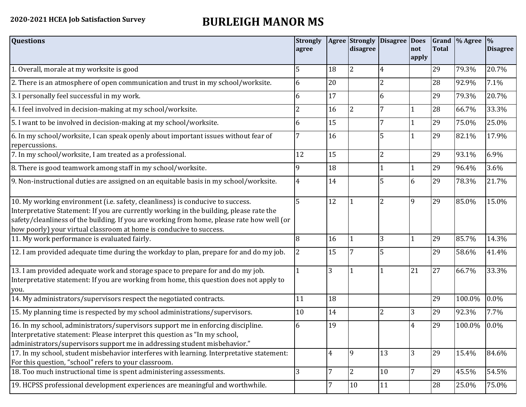## **2020-2021 HCEA Job Satisfaction Survey BURLEIGH MANOR MS**

| <b>Questions</b>                                                                                                                                                                                                                                                                                                                               | <b>Strongly</b><br>agree | <b>Agree</b>   | <b>Strongly</b><br>disagree | <b>Disagree</b> | <b>Does</b><br>not<br>apply | <b>Total</b> | Grand \% Agree | $\frac{9}{6}$<br><b>Disagree</b> |
|------------------------------------------------------------------------------------------------------------------------------------------------------------------------------------------------------------------------------------------------------------------------------------------------------------------------------------------------|--------------------------|----------------|-----------------------------|-----------------|-----------------------------|--------------|----------------|----------------------------------|
| 1. Overall, morale at my worksite is good                                                                                                                                                                                                                                                                                                      | 5                        | 18             | 2                           | 4               |                             | 29           | 79.3%          | 20.7%                            |
| 2. There is an atmosphere of open communication and trust in my school/worksite.                                                                                                                                                                                                                                                               | 6                        | 20             |                             | 2               |                             | 28           | 92.9%          | 7.1%                             |
| 3. I personally feel successful in my work.                                                                                                                                                                                                                                                                                                    | 6                        | 17             |                             | 6               |                             | 29           | 79.3%          | 20.7%                            |
| 4. I feel involved in decision-making at my school/worksite.                                                                                                                                                                                                                                                                                   | $\overline{2}$           | 16             | $\overline{2}$              | 7               |                             | 28           | 66.7%          | 33.3%                            |
| 5. I want to be involved in decision-making at my school/worksite.                                                                                                                                                                                                                                                                             | 6                        | 15             |                             | 7               |                             | 29           | 75.0%          | 25.0%                            |
| 6. In my school/worksite, I can speak openly about important issues without fear of<br>repercussions.                                                                                                                                                                                                                                          | 7                        | 16             |                             | 5               |                             | 29           | 82.1%          | 17.9%                            |
| 7. In my school/worksite, I am treated as a professional.                                                                                                                                                                                                                                                                                      | 12                       | 15             |                             | $\overline{2}$  |                             | 29           | 93.1%          | 6.9%                             |
| 8. There is good teamwork among staff in my school/worksite.                                                                                                                                                                                                                                                                                   | 9                        | 18             |                             |                 |                             | 29           | 96.4%          | 3.6%                             |
| 9. Non-instructional duties are assigned on an equitable basis in my school/worksite.                                                                                                                                                                                                                                                          | 4                        | 14             |                             | 5               | 6                           | 29           | 78.3%          | 21.7%                            |
| 10. My working environment (i.e. safety, cleanliness) is conducive to success.<br>Interpretative Statement: If you are currently working in the building, please rate the<br>safety/cleanliness of the building. If you are working from home, please rate how well (or<br>how poorly) your virtual classroom at home is conducive to success. | 5                        | 12             |                             | $\overline{2}$  | 9                           | 29           | 85.0%          | 15.0%                            |
| 11. My work performance is evaluated fairly.                                                                                                                                                                                                                                                                                                   | 8                        | 16             |                             | 3               |                             | 29           | 85.7%          | 14.3%                            |
| 12. I am provided adequate time during the workday to plan, prepare for and do my job.                                                                                                                                                                                                                                                         | $\overline{2}$           | 15             |                             | 5               |                             | 29           | 58.6%          | 41.4%                            |
| 13. I am provided adequate work and storage space to prepare for and do my job.<br>Interpretative statement: If you are working from home, this question does not apply to<br>you.                                                                                                                                                             |                          | 3              |                             |                 | 21                          | 27           | 66.7%          | 33.3%                            |
| 14. My administrators/supervisors respect the negotiated contracts.                                                                                                                                                                                                                                                                            | 11                       | 18             |                             |                 |                             | 29           | 100.0%         | 0.0%                             |
| 15. My planning time is respected by my school administrations/supervisors.                                                                                                                                                                                                                                                                    | 10                       | 14             |                             | 2               | 3                           | 29           | 92.3%          | 7.7%                             |
| 16. In my school, administrators/supervisors support me in enforcing discipline.<br>Interpretative statement: Please interpret this question as "In my school,<br>administrators/supervisors support me in addressing student misbehavior."                                                                                                    | 6                        | 19             |                             |                 | $\overline{4}$              | 29           | 100.0%         | 0.0%                             |
| 17. In my school, student misbehavior interferes with learning. Interpretative statement:<br>For this question, "school" refers to your classroom.                                                                                                                                                                                             |                          | $\overline{4}$ | 9                           | 13              | 3                           | 29           | 15.4%          | 84.6%                            |
| 18. Too much instructional time is spent administering assessments.                                                                                                                                                                                                                                                                            | 3                        | 7              | $\overline{2}$              | 10              | 7                           | 29           | 45.5%          | 54.5%                            |
| 19. HCPSS professional development experiences are meaningful and worthwhile.                                                                                                                                                                                                                                                                  |                          | 7              | 10                          | 11              |                             | 28           | 25.0%          | 75.0%                            |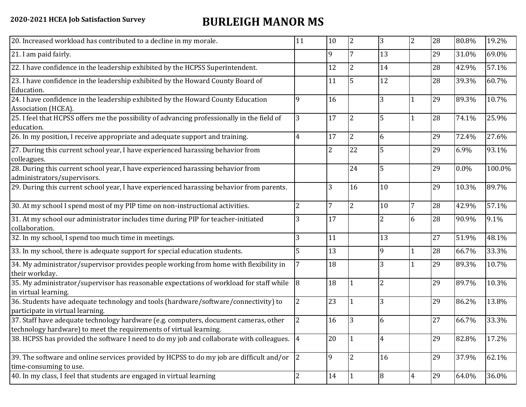## **2020-2021 HCEA Job Satisfaction Survey BURLEIGH MANOR MS**

| 20. Increased workload has contributed to a decline in my morale.                                                                                          | 11             | 10             | $\overline{2}$ | 3              | $\overline{2}$ | 28 | 80.8% | 19.2%  |
|------------------------------------------------------------------------------------------------------------------------------------------------------------|----------------|----------------|----------------|----------------|----------------|----|-------|--------|
| 21. I am paid fairly.                                                                                                                                      |                | 9              | 7              | 13             |                | 29 | 31.0% | 69.0%  |
| 22. I have confidence in the leadership exhibited by the HCPSS Superintendent.                                                                             |                | 12             | $\overline{2}$ | 14             |                | 28 | 42.9% | 57.1%  |
| 23. I have confidence in the leadership exhibited by the Howard County Board of<br>Education.                                                              |                | 11             | 5              | 12             |                | 28 | 39.3% | 60.7%  |
| 24. I have confidence in the leadership exhibited by the Howard County Education<br>Association (HCEA).                                                    | 9              | 16             |                | 3              |                | 29 | 89.3% | 10.7%  |
| 25. I feel that HCPSS offers me the possibility of advancing professionally in the field of<br>education.                                                  | 3              | 17             | 2              | 5              |                | 28 | 74.1% | 25.9%  |
| 26. In my position, I receive appropriate and adequate support and training.                                                                               | 4              | 17             | $\overline{2}$ | 6              |                | 29 | 72.4% | 27.6%  |
| 27. During this current school year, I have experienced harassing behavior from<br>colleagues.                                                             |                | $\overline{2}$ | 22             | 5              |                | 29 | 6.9%  | 93.1%  |
| 28. During this current school year, I have experienced harassing behavior from<br>administrators/supervisors.                                             |                |                | 24             | 5              |                | 29 | 0.0%  | 100.0% |
| 29. During this current school year, I have experienced harassing behavior from parents.                                                                   |                | 3              | 16             | 10             |                | 29 | 10.3% | 89.7%  |
| 30. At my school I spend most of my PIP time on non-instructional activities.                                                                              | $\overline{2}$ | 7              | $\overline{2}$ | 10             | 7              | 28 | 42.9% | 57.1%  |
| 31. At my school our administrator includes time during PIP for teacher-initiated<br>collaboration.                                                        | 3              | 17             |                | $\overline{2}$ | 6              | 28 | 90.9% | 9.1%   |
| 32. In my school, I spend too much time in meetings.                                                                                                       | 3              | 11             |                | 13             |                | 27 | 51.9% | 48.1%  |
| 33. In my school, there is adequate support for special education students.                                                                                | 5              | 13             |                | 9              |                | 28 | 66.7% | 33.3%  |
| 34. My administrator/supervisor provides people working from home with flexibility in<br>their workday.                                                    |                | 18             |                | 3              |                | 29 | 89.3% | 10.7%  |
| 35. My administrator/supervisor has reasonable expectations of workload for staff while<br>in virtual learning.                                            | 8              | 18             |                | $\overline{2}$ |                | 29 | 89.7% | 10.3%  |
| 36. Students have adequate technology and tools (hardware/software/connectivity) to<br>participate in virtual learning.                                    | $\overline{2}$ | 23             |                | 3              |                | 29 | 86.2% | 13.8%  |
| 37. Staff have adequate technology hardware (e.g. computers, document cameras, other<br>technology hardware) to meet the requirements of virtual learning. |                | 16             | 3              | 6              |                | 27 | 66.7% | 33.3%  |
| 38. HCPSS has provided the software I need to do my job and collaborate with colleagues. 4                                                                 |                | 20             |                | 4              |                | 29 | 82.8% | 17.2%  |
| 39. The software and online services provided by HCPSS to do my job are difficult and/or<br>time-consuming to use.                                         | $ 2\rangle$    | $\overline{9}$ | $\overline{2}$ | 16             |                | 29 | 37.9% | 62.1%  |
| 40. In my class, I feel that students are engaged in virtual learning                                                                                      | $\overline{2}$ | 14             |                | 8              | $\overline{4}$ | 29 | 64.0% | 36.0%  |
|                                                                                                                                                            |                |                |                |                |                |    |       |        |